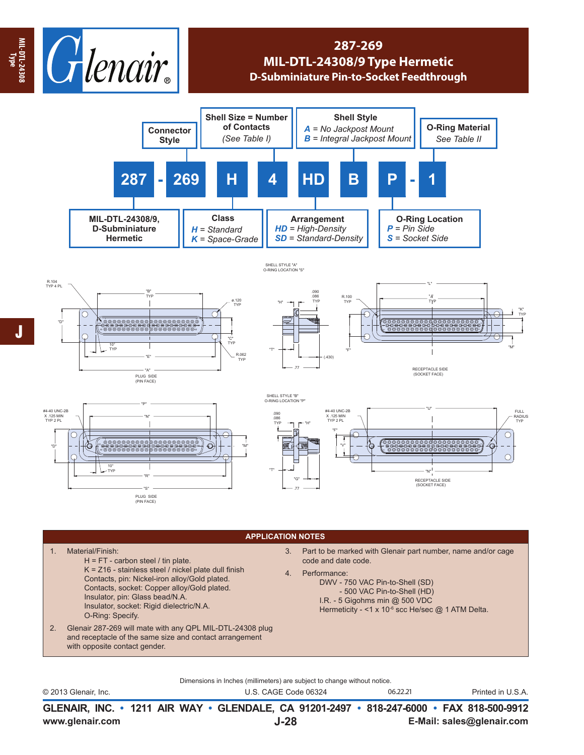

## **287-269 MIL-DTL-24308/9 Type Hermetic D-Subminiature Pin-to-Socket Feedthrough**



## R.104 TYP 4 PL "B" TYP ø.120 TYP  $\circ$ 1 21 "D" 22 42 43 "C" TYP 10° TYP R.062 "E" TYP "A" (PIN FACE)



"H"

"T"







## **APPLICATION NOTES**

H = FT - carbon steel / tin plate. K = Z16 - stainless steel / nickel plate dull finish Contacts, pin: Nickel-iron alloy/Gold plated. Contacts, socket: Copper alloy/Gold plated. Insulator, pin: Glass bead/N.A. Insulator, socket: Rigid dielectric/N.A. 3. Part to be marked with Glenair part number, name and/or cage code and date code. 4. Performance: DWV - 750 VAC Pin-to-Shell (SD) - 500 VAC Pin-to-Shell (HD) I.R. - 5 Gigohms min @ 500 VDC

O-Ring: Specify.

1. Material/Finish:

- 2. Glenair 287-269 will mate with any QPL MIL-DTL-24308 plug and receptacle of the same size and contact arrangement with opposite contact gender.
- - Hermeticity <1 x 10<sup>-6</sup> scc He/sec @ 1 ATM Delta.

Dimensions in Inches (millimeters) are subject to change without notice.

© 2013 Glenair, Inc. U.S. CAGE Code 06324 Printed in U.S.A. 06.22.21

**www.glenair.com E-Mail: sales@glenair.com GLENAIR, INC. • 1211 AIR WAY • GLENDALE, CA 91201-2497 • 818-247-6000 • FAX 818-500-9912 J-28**